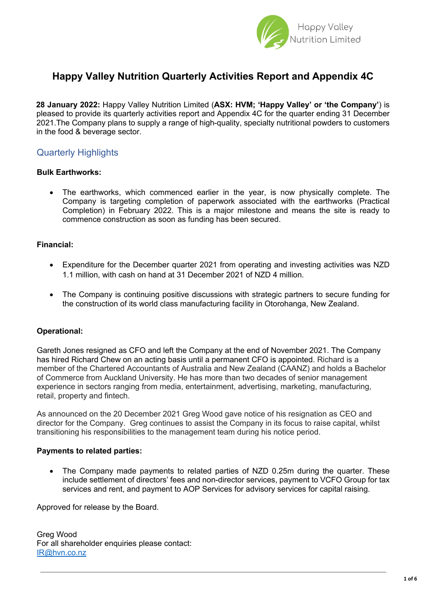

### **Happy Valley Nutrition Quarterly Activities Report and Appendix 4C**

**28 January 2022:** Happy Valley Nutrition Limited (**ASX: HVM; 'Happy Valley' or 'the Company'**) is pleased to provide its quarterly activities report and Appendix 4C for the quarter ending 31 December 2021.The Company plans to supply a range of high-quality, specialty nutritional powders to customers in the food & beverage sector.

### Quarterly Highlights

#### **Bulk Earthworks:**

The earthworks, which commenced earlier in the year, is now physically complete. The Company is targeting completion of paperwork associated with the earthworks (Practical Completion) in February 2022. This is a major milestone and means the site is ready to commence construction as soon as funding has been secured.

#### **Financial:**

- Expenditure for the December quarter 2021 from operating and investing activities was NZD 1.1 million, with cash on hand at 31 December 2021 of NZD 4 million.
- The Company is continuing positive discussions with strategic partners to secure funding for the construction of its world class manufacturing facility in Otorohanga, New Zealand.

#### **Operational:**

Gareth Jones resigned as CFO and left the Company at the end of November 2021. The Company has hired Richard Chew on an acting basis until a permanent CFO is appointed. Richard is a member of the Chartered Accountants of Australia and New Zealand (CAANZ) and holds a Bachelor of Commerce from Auckland University. He has more than two decades of senior management experience in sectors ranging from media, entertainment, advertising, marketing, manufacturing, retail, property and fintech.

As announced on the 20 December 2021 Greg Wood gave notice of his resignation as CEO and director for the Company. Greg continues to assist the Company in its focus to raise capital, whilst transitioning his responsibilities to the management team during his notice period.

#### **Payments to related parties:**

• The Company made payments to related parties of NZD 0.25m during the quarter. These include settlement of directors' fees and non-director services, payment to VCFO Group for tax services and rent, and payment to AOP Services for advisory services for capital raising.

Approved for release by the Board.

Greg Wood For all shareholder enquiries please contact: IR@hvn.co.nz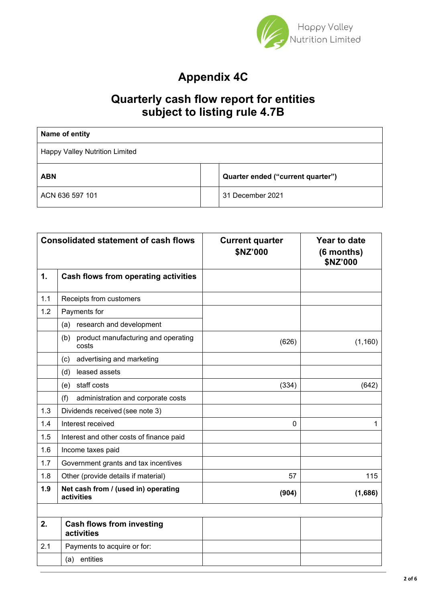

# **Appendix 4C**

## **Quarterly cash flow report for entities subject to listing rule 4.7B**

| Name of entity                        |                                   |
|---------------------------------------|-----------------------------------|
| <b>Happy Valley Nutrition Limited</b> |                                   |
| <b>ABN</b>                            | Quarter ended ("current quarter") |
| ACN 636 597 101                       | 31 December 2021                  |

| <b>Consolidated statement of cash flows</b> |                                                     | <b>Current quarter</b><br>\$NZ'000 | Year to date<br>(6 months)<br>\$NZ'000 |  |
|---------------------------------------------|-----------------------------------------------------|------------------------------------|----------------------------------------|--|
| 1.                                          | <b>Cash flows from operating activities</b>         |                                    |                                        |  |
| 1.1                                         | Receipts from customers                             |                                    |                                        |  |
| 1.2                                         | Payments for                                        |                                    |                                        |  |
|                                             | research and development<br>(a)                     |                                    |                                        |  |
|                                             | product manufacturing and operating<br>(b)<br>costs | (626)                              | (1, 160)                               |  |
|                                             | advertising and marketing<br>(c)                    |                                    |                                        |  |
|                                             | leased assets<br>(d)                                |                                    |                                        |  |
|                                             | staff costs<br>(e)                                  | (334)                              | (642)                                  |  |
|                                             | (f)<br>administration and corporate costs           |                                    |                                        |  |
| 1.3                                         | Dividends received (see note 3)                     |                                    |                                        |  |
| 1.4                                         | Interest received                                   | 0                                  | 1                                      |  |
| 1.5                                         | Interest and other costs of finance paid            |                                    |                                        |  |
| 1.6                                         | Income taxes paid                                   |                                    |                                        |  |
| 1.7                                         | Government grants and tax incentives                |                                    |                                        |  |
| 1.8                                         | Other (provide details if material)                 | 57                                 | 115                                    |  |
| 1.9                                         | Net cash from / (used in) operating<br>activities   | (904)                              | (1,686)                                |  |
|                                             |                                                     |                                    |                                        |  |
| 2.                                          | <b>Cash flows from investing</b><br>activities      |                                    |                                        |  |
| 2.1                                         | Payments to acquire or for:                         |                                    |                                        |  |
|                                             | entities<br>(a)                                     |                                    |                                        |  |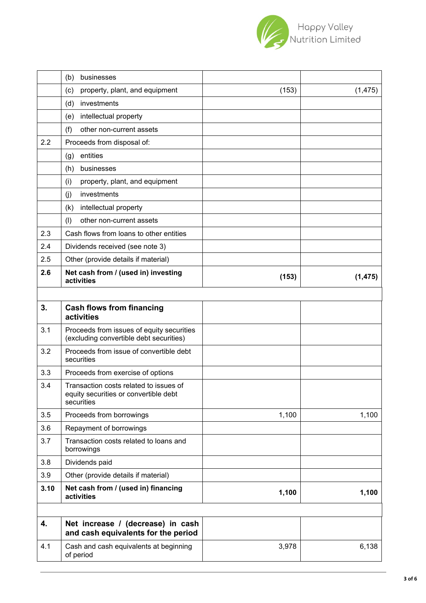

|      | (b)<br>businesses                                                                             |       |          |
|------|-----------------------------------------------------------------------------------------------|-------|----------|
|      | property, plant, and equipment<br>(c)                                                         | (153) | (1, 475) |
|      | investments<br>(d)                                                                            |       |          |
|      | intellectual property<br>(e)                                                                  |       |          |
|      | (f)<br>other non-current assets                                                               |       |          |
| 2.2  | Proceeds from disposal of:                                                                    |       |          |
|      | entities<br>(g)                                                                               |       |          |
|      | businesses<br>(h)                                                                             |       |          |
|      | (i)<br>property, plant, and equipment                                                         |       |          |
|      | investments<br>(i)                                                                            |       |          |
|      | intellectual property<br>(k)                                                                  |       |          |
|      | (1)<br>other non-current assets                                                               |       |          |
| 2.3  | Cash flows from loans to other entities                                                       |       |          |
| 2.4  | Dividends received (see note 3)                                                               |       |          |
| 2.5  | Other (provide details if material)                                                           |       |          |
| 2.6  | Net cash from / (used in) investing<br>activities                                             | (153) | (1, 475) |
|      |                                                                                               |       |          |
| 3.   | <b>Cash flows from financing</b><br>activities                                                |       |          |
| 3.1  | Proceeds from issues of equity securities<br>(excluding convertible debt securities)          |       |          |
| 3.2  | Proceeds from issue of convertible debt<br>securities                                         |       |          |
| 3.3  | Proceeds from exercise of options                                                             |       |          |
| 3.4  | Transaction costs related to issues of<br>equity securities or convertible debt<br>securities |       |          |
| 3.5  | Proceeds from borrowings                                                                      | 1,100 | 1,100    |
| 3.6  | Repayment of borrowings                                                                       |       |          |
| 3.7  | Transaction costs related to loans and<br>borrowings                                          |       |          |
| 3.8  | Dividends paid                                                                                |       |          |
| 3.9  | Other (provide details if material)                                                           |       |          |
| 3.10 | Net cash from / (used in) financing<br>activities                                             | 1,100 | 1,100    |
|      |                                                                                               |       |          |
| 4.   | Net increase / (decrease) in cash<br>and cash equivalents for the period                      |       |          |
| 4.1  | Cash and cash equivalents at beginning<br>of period                                           | 3,978 | 6,138    |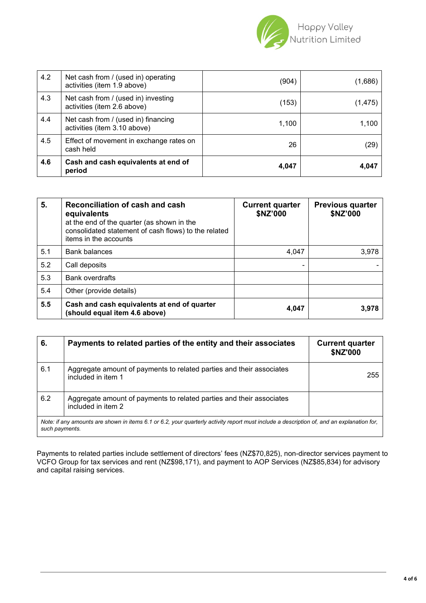

| 4.2 | Net cash from / (used in) operating<br>activities (item 1.9 above)  | (904) | (1,686)  |
|-----|---------------------------------------------------------------------|-------|----------|
| 4.3 | Net cash from / (used in) investing<br>activities (item 2.6 above)  | (153) | (1, 475) |
| 4.4 | Net cash from / (used in) financing<br>activities (item 3.10 above) | 1,100 | 1,100    |
| 4.5 | Effect of movement in exchange rates on<br>cash held                | 26    | (29)     |
| 4.6 | Cash and cash equivalents at end of<br>period                       | 4,047 | 4,047    |

| 5.  | Reconciliation of cash and cash<br>equivalents<br>at the end of the quarter (as shown in the<br>consolidated statement of cash flows) to the related<br>items in the accounts | <b>Current quarter</b><br>\$NZ'000 | <b>Previous quarter</b><br>\$NZ'000 |
|-----|-------------------------------------------------------------------------------------------------------------------------------------------------------------------------------|------------------------------------|-------------------------------------|
| 5.1 | <b>Bank balances</b>                                                                                                                                                          | 4,047                              | 3,978                               |
| 5.2 | Call deposits                                                                                                                                                                 |                                    |                                     |
| 5.3 | <b>Bank overdrafts</b>                                                                                                                                                        |                                    |                                     |
| 5.4 | Other (provide details)                                                                                                                                                       |                                    |                                     |
| 5.5 | Cash and cash equivalents at end of quarter<br>(should equal item 4.6 above)                                                                                                  | 4,047                              | 3,978                               |

| 6.                                                                                                                                                          | Payments to related parties of the entity and their associates                             | <b>Current quarter</b><br><b>\$NZ'000</b> |
|-------------------------------------------------------------------------------------------------------------------------------------------------------------|--------------------------------------------------------------------------------------------|-------------------------------------------|
| 6.1                                                                                                                                                         | Aggregate amount of payments to related parties and their associates<br>included in item 1 | 255                                       |
| 6.2                                                                                                                                                         | Aggregate amount of payments to related parties and their associates<br>included in item 2 |                                           |
| Note: if any amounts are shown in items 6.1 or 6.2, your quarterly activity report must include a description of, and an explanation for,<br>such payments. |                                                                                            |                                           |

Payments to related parties include settlement of directors' fees (NZ\$70,825), non-director services payment to VCFO Group for tax services and rent (NZ\$98,171), and payment to AOP Services (NZ\$85,834) for advisory and capital raising services.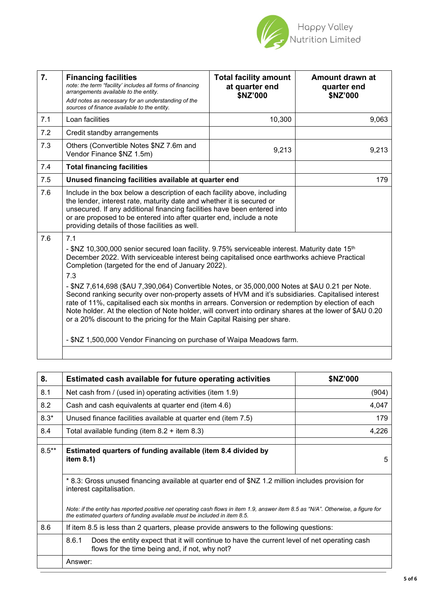

| $\overline{7}$ . | <b>Financing facilities</b><br>note: the term "facility' includes all forms of financing<br>arrangements available to the entity.<br>Add notes as necessary for an understanding of the<br>sources of finance available to the entity.                                                                                                                                                                                                                                                                                                                                                                                                                                                                                                                                                                                                                        | <b>Total facility amount</b><br>at quarter end<br>\$NZ'000 | Amount drawn at<br>quarter end<br>\$NZ'000 |
|------------------|---------------------------------------------------------------------------------------------------------------------------------------------------------------------------------------------------------------------------------------------------------------------------------------------------------------------------------------------------------------------------------------------------------------------------------------------------------------------------------------------------------------------------------------------------------------------------------------------------------------------------------------------------------------------------------------------------------------------------------------------------------------------------------------------------------------------------------------------------------------|------------------------------------------------------------|--------------------------------------------|
| 7.1              | Loan facilities                                                                                                                                                                                                                                                                                                                                                                                                                                                                                                                                                                                                                                                                                                                                                                                                                                               | 10,300                                                     | 9,063                                      |
| 7.2              | Credit standby arrangements                                                                                                                                                                                                                                                                                                                                                                                                                                                                                                                                                                                                                                                                                                                                                                                                                                   |                                                            |                                            |
| 7.3              | Others (Convertible Notes \$NZ 7.6m and<br>Vendor Finance \$NZ 1.5m)                                                                                                                                                                                                                                                                                                                                                                                                                                                                                                                                                                                                                                                                                                                                                                                          | 9,213                                                      | 9,213                                      |
| 7.4              | <b>Total financing facilities</b>                                                                                                                                                                                                                                                                                                                                                                                                                                                                                                                                                                                                                                                                                                                                                                                                                             |                                                            |                                            |
| 7.5              | Unused financing facilities available at quarter end                                                                                                                                                                                                                                                                                                                                                                                                                                                                                                                                                                                                                                                                                                                                                                                                          |                                                            | 179                                        |
| 7.6              | Include in the box below a description of each facility above, including<br>the lender, interest rate, maturity date and whether it is secured or<br>unsecured. If any additional financing facilities have been entered into<br>or are proposed to be entered into after quarter end, include a note<br>providing details of those facilities as well.                                                                                                                                                                                                                                                                                                                                                                                                                                                                                                       |                                                            |                                            |
| 7.6              | 7.1<br>- \$NZ 10,300,000 senior secured loan facility. 9.75% serviceable interest. Maturity date 15 <sup>th</sup><br>December 2022. With serviceable interest being capitalised once earthworks achieve Practical<br>Completion (targeted for the end of January 2022).<br>7.3<br>- \$NZ 7,614,698 (\$AU 7,390,064) Convertible Notes, or 35,000,000 Notes at \$AU 0.21 per Note.<br>Second ranking security over non-property assets of HVM and it's subsidiaries. Capitalised interest<br>rate of 11%, capitalised each six months in arrears. Conversion or redemption by election of each<br>Note holder. At the election of Note holder, will convert into ordinary shares at the lower of \$AU 0.20<br>or a 20% discount to the pricing for the Main Capital Raising per share.<br>- \$NZ 1,500,000 Vendor Financing on purchase of Waipa Meadows farm. |                                                            |                                            |

| 8.      | Estimated cash available for future operating activities                                                                                                                                                       | \$NZ'000 |  |
|---------|----------------------------------------------------------------------------------------------------------------------------------------------------------------------------------------------------------------|----------|--|
| 8.1     | Net cash from / (used in) operating activities (item 1.9)                                                                                                                                                      | (904)    |  |
| 8.2     | Cash and cash equivalents at quarter end (item 4.6)                                                                                                                                                            | 4,047    |  |
| $8.3*$  | Unused finance facilities available at quarter end (item 7.5)                                                                                                                                                  | 179      |  |
| 8.4     | Total available funding (item $8.2$ + item $8.3$ )                                                                                                                                                             | 4,226    |  |
|         |                                                                                                                                                                                                                |          |  |
| $8.5**$ | Estimated quarters of funding available (item 8.4 divided by<br>item $8.1$ )                                                                                                                                   | 5        |  |
|         | * 8.3: Gross unused financing available at quarter end of \$NZ 1.2 million includes provision for<br>interest capitalisation.                                                                                  |          |  |
|         | Note: if the entity has reported positive net operating cash flows in item 1.9, answer item 8.5 as "N/A". Otherwise, a figure for<br>the estimated quarters of funding available must be included in item 8.5. |          |  |
| 8.6     | If item 8.5 is less than 2 quarters, please provide answers to the following questions:                                                                                                                        |          |  |
|         | 8.6.1<br>Does the entity expect that it will continue to have the current level of net operating cash<br>flows for the time being and, if not, why not?                                                        |          |  |
|         | Answer:                                                                                                                                                                                                        |          |  |